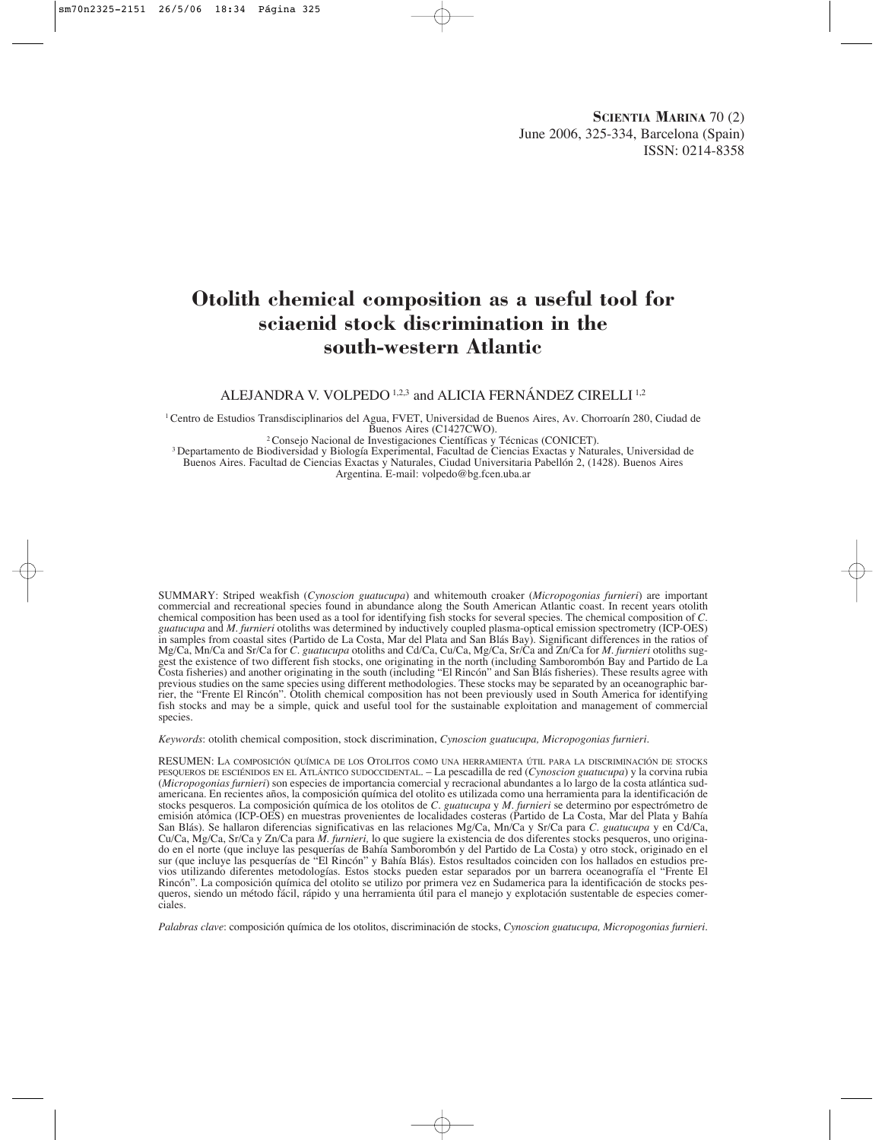# **Otolith chemical composition as a useful tool for sciaenid stock discrimination in the south-western Atlantic**

ALEJANDRA V. VOLPEDO 1,2,3 and ALICIA FERNÁNDEZ CIRELLI<sup>1,2</sup>

1 Centro de Estudios Transdisciplinarios del Agua, FVET, Universidad de Buenos Aires, Av. Chorroarín 280, Ciudad de

Buenos Aires (C1427CWO).<br><sup>3</sup> Departamento de Biodiversidad y Biología Experimental, Facultad de Ciencias Exactas y Naturales, Universidad de<br><sup>3</sup> Departamento de Biodiversidad y Biología Experimental, Facultad de Ciencias E Buenos Aires. Facultad de Ciencias Exactas y Naturales, Ciudad Universitaria Pabellón 2, (1428). Buenos Aires Argentina. E-mail: volpedo@bg.fcen.uba.ar

SUMMARY: Striped weakfish (*Cynoscion guatucupa*) and whitemouth croaker (*Micropogonias furnieri*) are important commercial and recreational species found in abundance along the South American Atlantic coast. In recent years otolith chemical composition has been used as a tool for identifying fish stocks for several species. The chemical composition of *C. guatucupa* and *M. furnieri* otoliths was determined by inductively coupled plasma-optical emission spectrometry (ICP-OES) in samples from coastal sites (Partido de La Costa, Mar del Plata and San Blás Bay). Significant differences in the ratios of Mg/Ca, Mn/Ca and Sr/Ca for *C. guatucupa* otoliths and Cd/Ca, Cu/Ca, Mg/Ca, Sr/Ca and Zn/Ca for *M. furnieri* otoliths suggest the existence of two different fish stocks, one originating in the north (including Samborombón Bay and Partido de La Costa fisheries) and another originating in the south (including "El Rincón" and San Blás fisheries). These results agree with previous studies on the same species using different methodologies. These stocks may be separated by an oceanographic barrier, the "Frente El Rincón". Otolith chemical composition has not been previously used in South America for identifying fish stocks and may be a simple, quick and useful tool for the sustainable exploitation and management of commercial species.

*Keywords*: otolith chemical composition, stock discrimination, *Cynoscion guatucupa, Micropogonias furnieri*.

RESUMEN: LA COMPOSICIÓN QUÍMICA DE LOS OTOLITOS COMO UNA HERRAMIENTA ÚTIL PARA LA DISCRIMINACIÓN DE STOCKS PESQUEROS DE ESCIÉNIDOS EN EL ATLÁNTICO SUDOCCIDENTAL. – La pescadilla de red (*Cynoscion guatucupa*) y la corvina rubia (*Micropogonias furnieri*) son especies de importancia comercial y recracional abundantes a lo largo de la costa atlántica sudamericana. En recientes años, la composición química del otolito es utilizada como una herramienta para la identificación de stocks pesqueros. La composición química de los otolitos de *C. guatucupa* y *M. furnieri* se determino por espectrómetro de emisión atómica (ICP-OES) en muestras provenientes de localidades costeras (Partido de La Costa, Mar del Plata y Bahía San Blás). Se hallaron diferencias significativas en las relaciones Mg/Ca, Mn/Ca y Sr/Ca para *C. guatucupa* y en Cd/Ca, Cu/Ca, Mg/Ca, Sr/Ca y Zn/Ca para *M. furnieri,* lo que sugiere la existencia de dos diferentes stocks pesqueros, uno originado en el norte (que incluye las pesquerías de Bahía Samborombón y del Partido de La Costa) y otro stock, originado en el sur (que incluye las pesquerías de "El Rincón" y Bahía Blás). Estos resultados coinciden con los hallados en estudios previos utilizando diferentes metodologías. Estos stocks pueden estar separados por un barrera oceanografía el "Frente El Rincón". La composición química del otolito se utilizo por primera vez en Sudamerica para la identificación de stocks pesqueros, siendo un método fácil, rápido y una herramienta útil para el manejo y explotación sustentable de especies comerciales.

*Palabras clave*: composición química de los otolitos, discriminación de stocks, *Cynoscion guatucupa, Micropogonias furnieri*.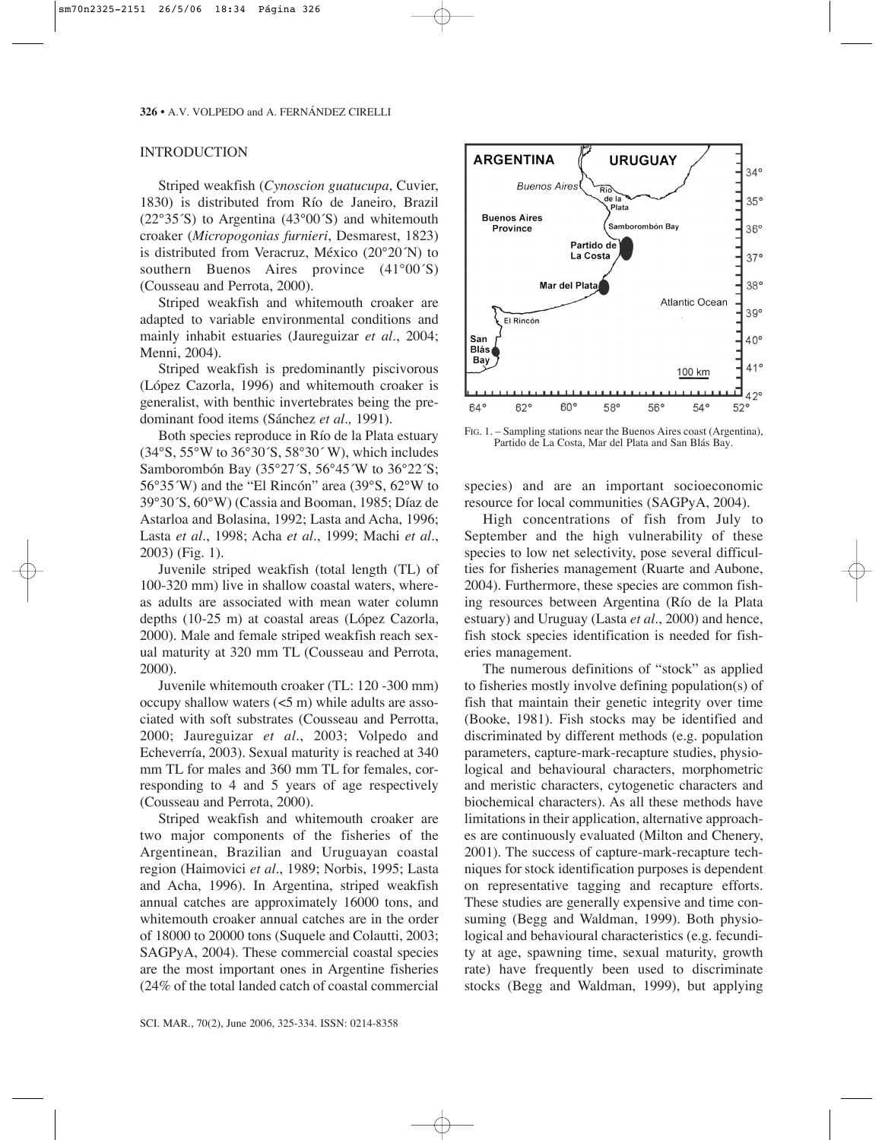## INTRODUCTION

Striped weakfish (*Cynoscion guatucupa*, Cuvier, 1830) is distributed from Río de Janeiro, Brazil (22°35´S) to Argentina (43°00´S) and whitemouth croaker (*Micropogonias furnieri*, Desmarest, 1823) is distributed from Veracruz, México (20°20´N) to southern Buenos Aires province (41°00´S) (Cousseau and Perrota, 2000).

Striped weakfish and whitemouth croaker are adapted to variable environmental conditions and mainly inhabit estuaries (Jaureguizar *et al*., 2004; Menni, 2004).

Striped weakfish is predominantly piscivorous (López Cazorla, 1996) and whitemouth croaker is generalist, with benthic invertebrates being the predominant food items (Sánchez *et al.,* 1991).

Both species reproduce in Río de la Plata estuary (34°S, 55°W to 36°30´S, 58°30´ W), which includes Samborombón Bay (35°27´S, 56°45´W to 36°22´S; 56°35´W) and the "El Rincón" area (39°S, 62°W to 39°30´S, 60°W) (Cassia and Booman, 1985; Díaz de Astarloa and Bolasina, 1992; Lasta and Acha, 1996; Lasta *et al*., 1998; Acha *et al*., 1999; Machi *et al*., 2003) (Fig. 1).

Juvenile striped weakfish (total length (TL) of 100-320 mm) live in shallow coastal waters, whereas adults are associated with mean water column depths (10-25 m) at coastal areas (López Cazorla, 2000). Male and female striped weakfish reach sexual maturity at 320 mm TL (Cousseau and Perrota, 2000).

Juvenile whitemouth croaker (TL: 120 -300 mm) occupy shallow waters (<5 m) while adults are associated with soft substrates (Cousseau and Perrotta, 2000; Jaureguizar *et al*., 2003; Volpedo and Echeverría, 2003). Sexual maturity is reached at 340 mm TL for males and 360 mm TL for females, corresponding to 4 and 5 years of age respectively (Cousseau and Perrota, 2000).

Striped weakfish and whitemouth croaker are two major components of the fisheries of the Argentinean, Brazilian and Uruguayan coastal region (Haimovici *et al*., 1989; Norbis, 1995; Lasta and Acha, 1996). In Argentina, striped weakfish annual catches are approximately 16000 tons, and whitemouth croaker annual catches are in the order of 18000 to 20000 tons (Suquele and Colautti, 2003; SAGPyA, 2004). These commercial coastal species are the most important ones in Argentine fisheries (24% of the total landed catch of coastal commercial



FIG. 1. – Sampling stations near the Buenos Aires coast (Argentina), Partido de La Costa, Mar del Plata and San Blás Bay.

species) and are an important socioeconomic resource for local communities (SAGPyA, 2004).

High concentrations of fish from July to September and the high vulnerability of these species to low net selectivity, pose several difficulties for fisheries management (Ruarte and Aubone, 2004). Furthermore, these species are common fishing resources between Argentina (Río de la Plata estuary) and Uruguay (Lasta *et al*., 2000) and hence, fish stock species identification is needed for fisheries management.

The numerous definitions of "stock" as applied to fisheries mostly involve defining population(s) of fish that maintain their genetic integrity over time (Booke, 1981). Fish stocks may be identified and discriminated by different methods (e.g. population parameters, capture-mark-recapture studies, physiological and behavioural characters, morphometric and meristic characters, cytogenetic characters and biochemical characters). As all these methods have limitations in their application, alternative approaches are continuously evaluated (Milton and Chenery, 2001). The success of capture-mark-recapture techniques for stock identification purposes is dependent on representative tagging and recapture efforts. These studies are generally expensive and time consuming (Begg and Waldman, 1999). Both physiological and behavioural characteristics (e.g. fecundity at age, spawning time, sexual maturity, growth rate) have frequently been used to discriminate stocks (Begg and Waldman, 1999), but applying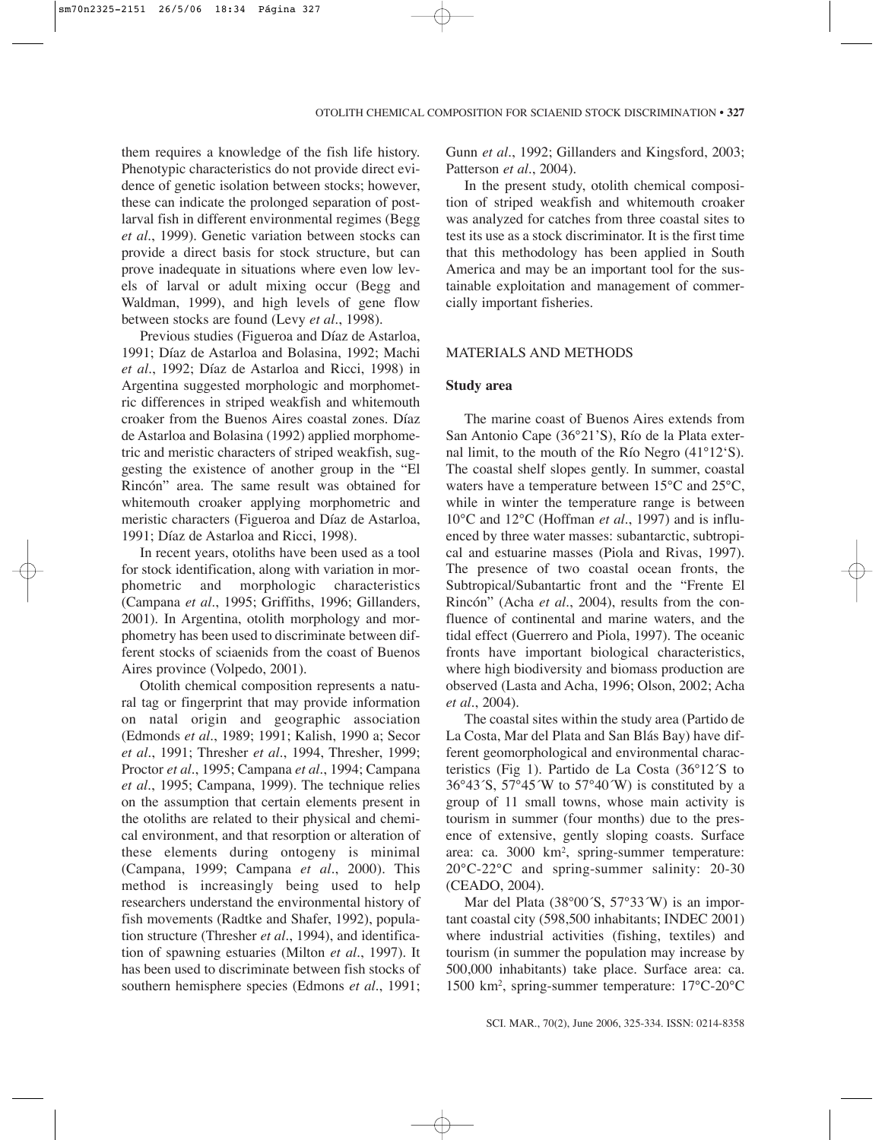them requires a knowledge of the fish life history. Phenotypic characteristics do not provide direct evidence of genetic isolation between stocks; however, these can indicate the prolonged separation of postlarval fish in different environmental regimes (Begg *et al*., 1999). Genetic variation between stocks can provide a direct basis for stock structure, but can prove inadequate in situations where even low levels of larval or adult mixing occur (Begg and Waldman, 1999), and high levels of gene flow between stocks are found (Levy *et al*., 1998).

Previous studies (Figueroa and Díaz de Astarloa, 1991; Díaz de Astarloa and Bolasina, 1992; Machi *et al*., 1992; Díaz de Astarloa and Ricci, 1998) in Argentina suggested morphologic and morphometric differences in striped weakfish and whitemouth croaker from the Buenos Aires coastal zones. Díaz de Astarloa and Bolasina (1992) applied morphometric and meristic characters of striped weakfish, suggesting the existence of another group in the "El Rincón" area. The same result was obtained for whitemouth croaker applying morphometric and meristic characters (Figueroa and Díaz de Astarloa, 1991; Díaz de Astarloa and Ricci, 1998).

In recent years, otoliths have been used as a tool for stock identification, along with variation in morphometric and morphologic characteristics (Campana *et al*., 1995; Griffiths, 1996; Gillanders, 2001). In Argentina, otolith morphology and morphometry has been used to discriminate between different stocks of sciaenids from the coast of Buenos Aires province (Volpedo, 2001).

Otolith chemical composition represents a natural tag or fingerprint that may provide information on natal origin and geographic association (Edmonds *et al*., 1989; 1991; Kalish, 1990 a; Secor *et al*., 1991; Thresher *et al*., 1994, Thresher, 1999; Proctor *et al*., 1995; Campana *et al*., 1994; Campana *et al*., 1995; Campana, 1999). The technique relies on the assumption that certain elements present in the otoliths are related to their physical and chemical environment, and that resorption or alteration of these elements during ontogeny is minimal (Campana, 1999; Campana *et al*., 2000). This method is increasingly being used to help researchers understand the environmental history of fish movements (Radtke and Shafer, 1992), population structure (Thresher *et al*., 1994), and identification of spawning estuaries (Milton *et al*., 1997). It has been used to discriminate between fish stocks of southern hemisphere species (Edmons *et al*., 1991; Gunn *et al*., 1992; Gillanders and Kingsford, 2003; Patterson *et al*., 2004).

In the present study, otolith chemical composition of striped weakfish and whitemouth croaker was analyzed for catches from three coastal sites to test its use as a stock discriminator. It is the first time that this methodology has been applied in South America and may be an important tool for the sustainable exploitation and management of commercially important fisheries.

## MATERIALS AND METHODS

## **Study area**

The marine coast of Buenos Aires extends from San Antonio Cape (36°21'S), Río de la Plata external limit, to the mouth of the Río Negro (41°12'S). The coastal shelf slopes gently. In summer, coastal waters have a temperature between 15°C and 25°C, while in winter the temperature range is between 10°C and 12°C (Hoffman *et al*., 1997) and is influenced by three water masses: subantarctic, subtropical and estuarine masses (Piola and Rivas, 1997). The presence of two coastal ocean fronts, the Subtropical/Subantartic front and the "Frente El Rincón" (Acha *et al*., 2004), results from the confluence of continental and marine waters, and the tidal effect (Guerrero and Piola, 1997). The oceanic fronts have important biological characteristics, where high biodiversity and biomass production are observed (Lasta and Acha, 1996; Olson, 2002; Acha *et al*., 2004).

The coastal sites within the study area (Partido de La Costa, Mar del Plata and San Blás Bay) have different geomorphological and environmental characteristics (Fig 1). Partido de La Costa (36°12´S to 36°43´S, 57°45´W to 57°40´W) is constituted by a group of 11 small towns, whose main activity is tourism in summer (four months) due to the presence of extensive, gently sloping coasts. Surface area: ca. 3000 km2 , spring-summer temperature: 20°C-22°C and spring-summer salinity: 20-30 (CEADO, 2004).

Mar del Plata (38°00´S, 57°33´W) is an important coastal city (598,500 inhabitants; INDEC 2001) where industrial activities (fishing, textiles) and tourism (in summer the population may increase by 500,000 inhabitants) take place. Surface area: ca. 1500 km2 , spring-summer temperature: 17°C-20°C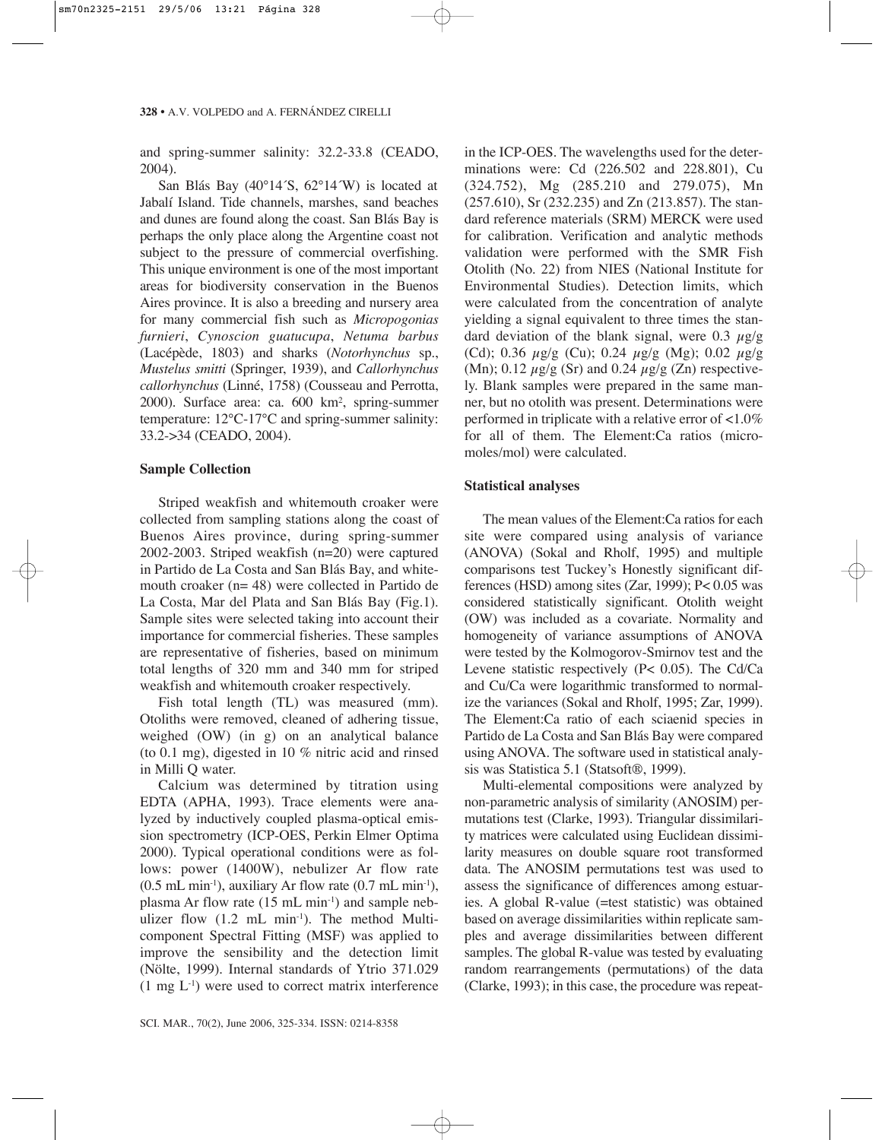and spring-summer salinity: 32.2-33.8 (CEADO, 2004).

San Blás Bay (40°14´S, 62°14´W) is located at Jabalí Island. Tide channels, marshes, sand beaches and dunes are found along the coast. San Blás Bay is perhaps the only place along the Argentine coast not subject to the pressure of commercial overfishing. This unique environment is one of the most important areas for biodiversity conservation in the Buenos Aires province. It is also a breeding and nursery area for many commercial fish such as *Micropogonias furnieri*, *Cynoscion guatucupa*, *Netuma barbus* (Lacépède, 1803) and sharks (*Notorhynchus* sp., *Mustelus smitti* (Springer, 1939), and *Callorhynchus callorhynchus* (Linné, 1758) (Cousseau and Perrotta, 2000). Surface area: ca. 600 km2 , spring-summer temperature: 12°C-17°C and spring-summer salinity: 33.2->34 (CEADO, 2004).

# **Sample Collection**

Striped weakfish and whitemouth croaker were collected from sampling stations along the coast of Buenos Aires province, during spring-summer 2002-2003. Striped weakfish (n=20) were captured in Partido de La Costa and San Blás Bay, and whitemouth croaker (n= 48) were collected in Partido de La Costa, Mar del Plata and San Blás Bay (Fig.1). Sample sites were selected taking into account their importance for commercial fisheries. These samples are representative of fisheries, based on minimum total lengths of 320 mm and 340 mm for striped weakfish and whitemouth croaker respectively.

Fish total length (TL) was measured (mm). Otoliths were removed, cleaned of adhering tissue, weighed (OW) (in g) on an analytical balance (to 0.1 mg), digested in 10 % nitric acid and rinsed in Milli Q water.

Calcium was determined by titration using EDTA (APHA, 1993). Trace elements were analyzed by inductively coupled plasma-optical emission spectrometry (ICP-OES, Perkin Elmer Optima 2000). Typical operational conditions were as follows: power (1400W), nebulizer Ar flow rate  $(0.5 \text{ mL min}^{-1})$ , auxiliary Ar flow rate  $(0.7 \text{ mL min}^{-1})$ , plasma Ar flow rate  $(15 \text{ mL min}^{-1})$  and sample nebulizer flow (1.2 mL min<sup>-1</sup>). The method Multicomponent Spectral Fitting (MSF) was applied to improve the sensibility and the detection limit (Nölte, 1999). Internal standards of Ytrio 371.029  $(1 \text{ mg } L^{-1})$  were used to correct matrix interference in the ICP-OES. The wavelengths used for the determinations were: Cd (226.502 and 228.801), Cu (324.752), Mg (285.210 and 279.075), Mn (257.610), Sr (232.235) and Zn (213.857). The standard reference materials (SRM) MERCK were used for calibration. Verification and analytic methods validation were performed with the SMR Fish Otolith (No. 22) from NIES (National Institute for Environmental Studies). Detection limits, which were calculated from the concentration of analyte yielding a signal equivalent to three times the standard deviation of the blank signal, were 0.3  $\mu$ g/g (Cd); 0.36  $\mu$ g/g (Cu); 0.24  $\mu$ g/g (Mg); 0.02  $\mu$ g/g (Mn); 0.12  $\mu$ g/g (Sr) and 0.24  $\mu$ g/g (Zn) respectively. Blank samples were prepared in the same manner, but no otolith was present. Determinations were performed in triplicate with a relative error of <1.0% for all of them. The Element:Ca ratios (micromoles/mol) were calculated.

# **Statistical analyses**

The mean values of the Element:Ca ratios for each site were compared using analysis of variance (ANOVA) (Sokal and Rholf, 1995) and multiple comparisons test Tuckey's Honestly significant differences (HSD) among sites (Zar, 1999); P< 0.05 was considered statistically significant. Otolith weight (OW) was included as a covariate. Normality and homogeneity of variance assumptions of ANOVA were tested by the Kolmogorov-Smirnov test and the Levene statistic respectively (P< 0.05). The Cd/Ca and Cu/Ca were logarithmic transformed to normalize the variances (Sokal and Rholf, 1995; Zar, 1999). The Element:Ca ratio of each sciaenid species in Partido de La Costa and San Blás Bay were compared using ANOVA. The software used in statistical analysis was Statistica 5.1 (Statsoft®, 1999).

Multi-elemental compositions were analyzed by non-parametric analysis of similarity (ANOSIM) permutations test (Clarke, 1993). Triangular dissimilarity matrices were calculated using Euclidean dissimilarity measures on double square root transformed data. The ANOSIM permutations test was used to assess the significance of differences among estuaries. A global R-value (=test statistic) was obtained based on average dissimilarities within replicate samples and average dissimilarities between different samples. The global R-value was tested by evaluating random rearrangements (permutations) of the data (Clarke, 1993); in this case, the procedure was repeat-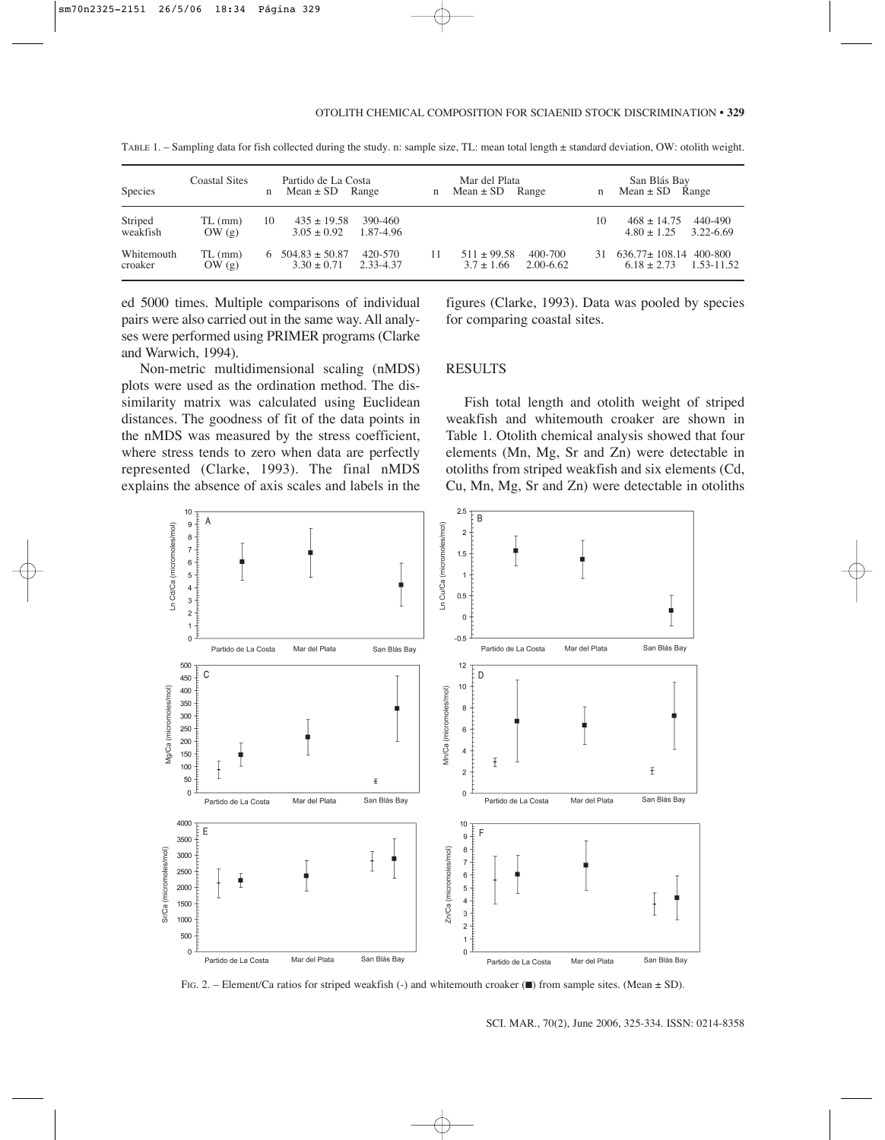| Species               | Coastal Sites      | $\mathbf{n}$ | Partido de La Costa<br>$Mean \pm SD$ Range |                      | n | Mar del Plata<br>$Mean \pm SD$ Range |                      | $\mathbf n$ | San Blás Bay<br>$Mean \pm SD$ Range        |                      |
|-----------------------|--------------------|--------------|--------------------------------------------|----------------------|---|--------------------------------------|----------------------|-------------|--------------------------------------------|----------------------|
| Striped<br>weakfish   | $TL$ (mm)<br>OW(g) | 10           | $435 \pm 19.58$<br>$3.05 \pm 0.92$         | 390-460<br>1.87-4.96 |   |                                      |                      | 10          | $468 + 14.75$<br>$4.80 \pm 1.25$           | 440-490<br>3.22-6.69 |
| Whitemouth<br>croaker | $TL$ (mm)<br>OW(g) |              | $6\quad 504.83 + 50.87$<br>$3.30 \pm 0.71$ | 420-570<br>2.33-4.37 |   | $511 + 99.58$<br>$3.7 + 1.66$        | 400-700<br>2.00-6.62 | 31          | $636.77 + 108.14$ 400-800<br>$6.18 + 2.73$ | 1.53-11.52           |

TABLE 1. – Sampling data for fish collected during the study. n: sample size, TL: mean total length ± standard deviation, OW: otolith weight.

ed 5000 times. Multiple comparisons of individual pairs were also carried out in the same way. All analyses were performed using PRIMER programs (Clarke and Warwich, 1994).

Non-metric multidimensional scaling (nMDS) plots were used as the ordination method. The dissimilarity matrix was calculated using Euclidean distances. The goodness of fit of the data points in the nMDS was measured by the stress coefficient, where stress tends to zero when data are perfectly represented (Clarke, 1993). The final nMDS explains the absence of axis scales and labels in the

figures (Clarke, 1993). Data was pooled by species for comparing coastal sites.

# **RESULTS**

Fish total length and otolith weight of striped weakfish and whitemouth croaker are shown in Table 1. Otolith chemical analysis showed that four elements (Mn, Mg, Sr and Zn) were detectable in otoliths from striped weakfish and six elements (Cd, Cu, Mn, Mg, Sr and Zn) were detectable in otoliths



FIG. 2. – Element/Ca ratios for striped weakfish (-) and whitemouth croaker  $(\blacksquare)$  from sample sites. (Mean  $\pm$  SD).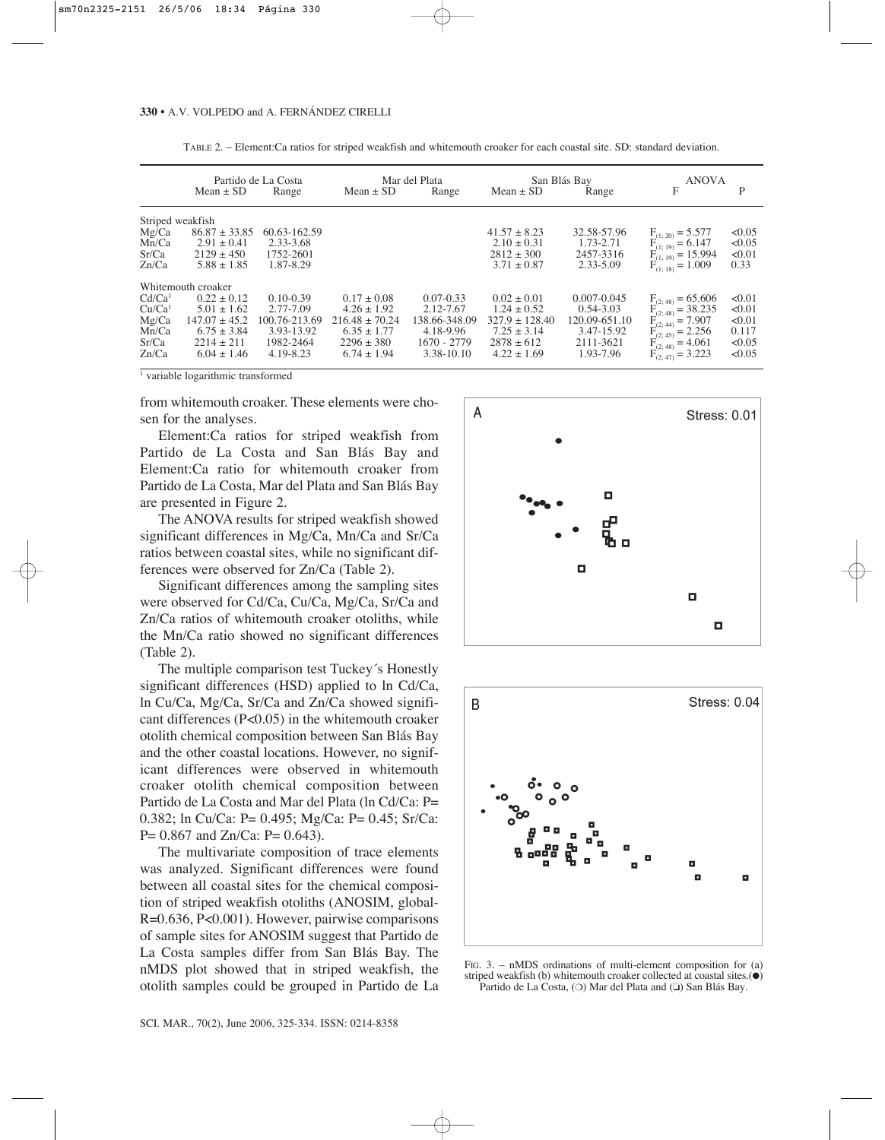|                    | Partido de La Costa |               | Mar del Plata      |               | San Blás Bay       |                 | <b>ANOVA</b>                                                                  |        |
|--------------------|---------------------|---------------|--------------------|---------------|--------------------|-----------------|-------------------------------------------------------------------------------|--------|
|                    | Mean $\pm$ SD       | Range         | Mean $\pm$ SD      | Range         | Mean $\pm$ SD      | Range           | F                                                                             | P      |
| Striped weakfish   |                     |               |                    |               |                    |                 |                                                                               |        |
| Mg/Ca              | $86.87 \pm 33.85$   | 60.63-162.59  |                    |               | $41.57 + 8.23$     | 32.58-57.96     | $F_{(1; 20)} = 5.577$<br>$F_{(1; 19)} = 6.147$<br>$F_{(1; 19)} = 15.994$      | < 0.05 |
| Mn/Ca              | $2.91 \pm 0.41$     | 2.33-3.68     |                    |               | $2.10 \pm 0.31$    | 1.73-2.71       |                                                                               | < 0.05 |
| Sr/Ca              | $2129 + 450$        | 1752-2601     |                    |               | $2812 \pm 300$     | 2457-3316       |                                                                               | < 0.01 |
| Zn/Ca              | $5.88 \pm 1.85$     | 1.87-8.29     |                    |               | $3.71 \pm 0.87$    | 2.33-5.09       | $F_{(1.18)} = 1.009$                                                          | 0.33   |
|                    | Whitemouth croaker  |               |                    |               |                    |                 |                                                                               |        |
| Cd/Ca <sup>1</sup> | $0.22 \pm 0.12$     | $0.10 - 0.39$ | $0.17 \pm 0.08$    | $0.07 - 0.33$ | $0.02 \pm 0.01$    | $0.007 - 0.045$ |                                                                               | < 0.01 |
| Cu/Ca <sup>1</sup> | $5.01 + 1.62$       | 2.77-7.09     | $4.26 \pm 1.92$    | 2.12-7.67     | $1.24 \pm 0.52$    | $0.54 - 3.03$   | $F_{(2; 48)} = 65.606$<br>$F_{(2; 48)} = 38.235$                              | < 0.01 |
| Mg/Ca              | $147.07 \pm 45.2$   | 100.76-213.69 | $216.48 \pm 70.24$ | 138.66-348.09 | $327.9 \pm 128.40$ | 120.09-651.10   | $F_{(2;44)}^{(2;44)} = 7.907$<br>$F_{(2;45)} = 2.256$<br>$F_{(2;48)} = 4.061$ | < 0.01 |
| Mn/Ca              | $6.75 + 3.84$       | 3.93-13.92    | $6.35 \pm 1.77$    | 4.18-9.96     | $7.25 + 3.14$      | 3.47-15.92      |                                                                               | 0.117  |
| Sr/Ca              | $2214 + 211$        | 1982-2464     | $2296 \pm 380$     | 1670 - 2779   | $2878 + 612$       | 2111-3621       |                                                                               | < 0.05 |
| Zn/Ca              | $6.04 + 1.46$       | 4.19-8.23     | $6.74 + 1.94$      | 3.38-10.10    | $4.22 + 1.69$      | 1.93-7.96       | $F_{(2;47)}^{(4)} = 3.223$                                                    | <0.05  |

TABLE 2. – Element:Ca ratios for striped weakfish and whitemouth croaker for each coastal site. SD: standard deviation.

<sup>1</sup> variable logarithmic transformed

from whitemouth croaker. These elements were chosen for the analyses.

Element:Ca ratios for striped weakfish from Partido de La Costa and San Blás Bay and Element:Ca ratio for whitemouth croaker from Partido de La Costa, Mar del Plata and San Blás Bay are presented in Figure 2.

The ANOVA results for striped weakfish showed significant differences in Mg/Ca, Mn/Ca and Sr/Ca ratios between coastal sites, while no significant differences were observed for Zn/Ca (Table 2).

Significant differences among the sampling sites were observed for Cd/Ca, Cu/Ca, Mg/Ca, Sr/Ca and Zn/Ca ratios of whitemouth croaker otoliths, while the Mn/Ca ratio showed no significant differences (Table 2).

The multiple comparison test Tuckey´s Honestly significant differences (HSD) applied to ln Cd/Ca, ln Cu/Ca, Mg/Ca, Sr/Ca and Zn/Ca showed significant differences (P<0.05) in the whitemouth croaker otolith chemical composition between San Blás Bay and the other coastal locations. However, no significant differences were observed in whitemouth croaker otolith chemical composition between Partido de La Costa and Mar del Plata (ln Cd/Ca: P= 0.382; ln Cu/Ca: P= 0.495; Mg/Ca: P= 0.45; Sr/Ca: P= 0.867 and Zn/Ca: P= 0.643).

The multivariate composition of trace elements was analyzed. Significant differences were found between all coastal sites for the chemical composition of striped weakfish otoliths (ANOSIM, global-R=0.636, P<0.001). However, pairwise comparisons of sample sites for ANOSIM suggest that Partido de La Costa samples differ from San Blás Bay. The nMDS plot showed that in striped weakfish, the otolith samples could be grouped in Partido de La





FIG. 3. – nMDS ordinations of multi-element composition for (a) striped weakfish (b) whitemouth croaker collected at coastal sites.(●) Partido de La Costa, (❍) Mar del Plata and (❏) San Blás Bay.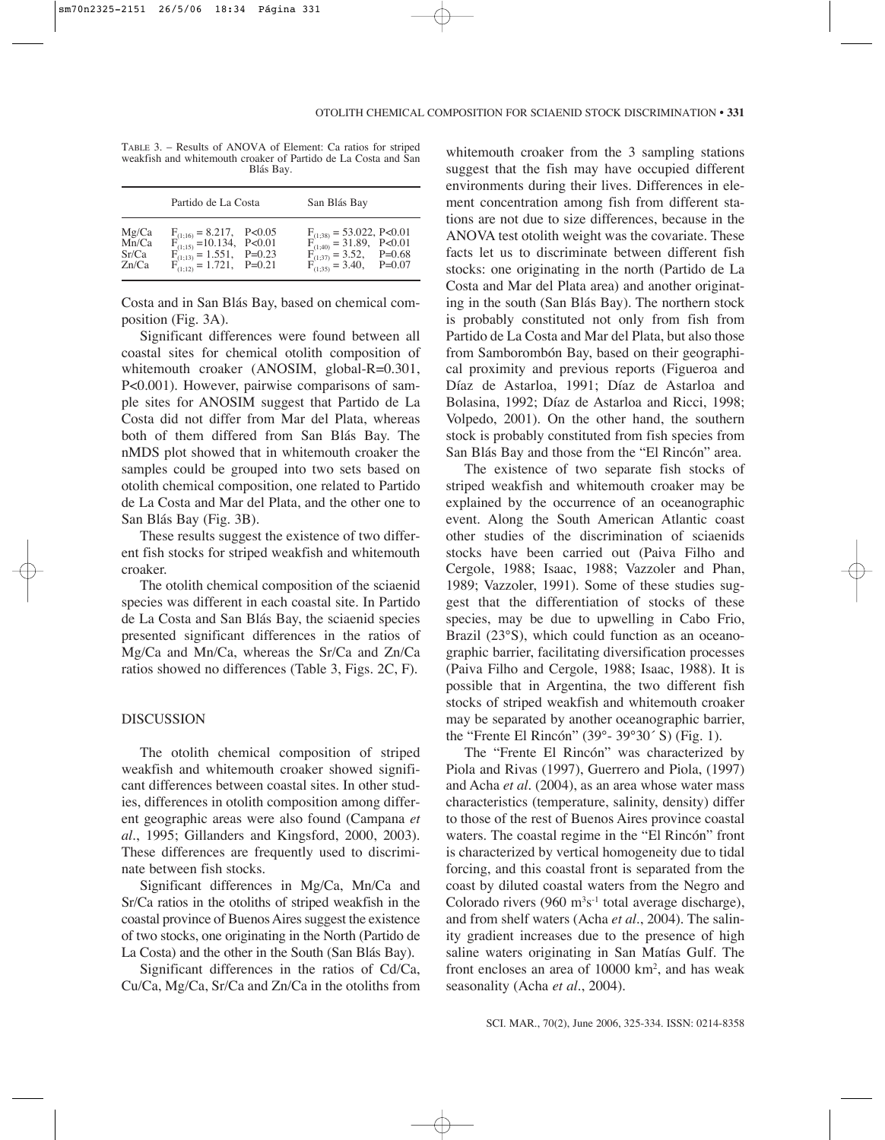| TABLE 3. – Results of ANOVA of Element: Ca ratios for striped  |
|----------------------------------------------------------------|
| weakfish and whitemouth croaker of Partido de La Costa and San |
| Blás Bay.                                                      |

|                                  | Partido de La Costa                                                                                                                                   | San Blás Bay                                                                                                                                                                                                                           |  |
|----------------------------------|-------------------------------------------------------------------------------------------------------------------------------------------------------|----------------------------------------------------------------------------------------------------------------------------------------------------------------------------------------------------------------------------------------|--|
| Mg/Ca<br>Mn/Ca<br>Sr/Ca<br>Zn/Ca | $\begin{array}{ll} F_{(1;16)}=8.217, & P<0.05 \\ F_{(1;15)}=10.134, & P<0.01 \\ F_{(1;13)}=1.551, & P=0.23 \\ F_{(1;12)}=1.721, & P=0.21 \end{array}$ | $\begin{array}{ll} \mathrm{F_{(1;38)}}=53.022,\ \mathrm{P<}0.01\\ \mathrm{F_{(1;40)}}=31.89,\quad \mathrm{P<}0.01\\ \mathrm{F_{(1;37)}}=3.52,\quad \  \mathrm{P=}0.68\\ \mathrm{F_{(1;35)}}=3.40,\quad \  \mathrm{P=}0.07 \end{array}$ |  |

Costa and in San Blás Bay, based on chemical composition (Fig. 3A).

Significant differences were found between all coastal sites for chemical otolith composition of whitemouth croaker (ANOSIM, global-R=0.301, P<0.001). However, pairwise comparisons of sample sites for ANOSIM suggest that Partido de La Costa did not differ from Mar del Plata, whereas both of them differed from San Blás Bay. The nMDS plot showed that in whitemouth croaker the samples could be grouped into two sets based on otolith chemical composition, one related to Partido de La Costa and Mar del Plata, and the other one to San Blás Bay (Fig. 3B).

These results suggest the existence of two different fish stocks for striped weakfish and whitemouth croaker.

The otolith chemical composition of the sciaenid species was different in each coastal site. In Partido de La Costa and San Blás Bay, the sciaenid species presented significant differences in the ratios of Mg/Ca and Mn/Ca, whereas the Sr/Ca and Zn/Ca ratios showed no differences (Table 3, Figs. 2C, F).

# DISCUSSION

The otolith chemical composition of striped weakfish and whitemouth croaker showed significant differences between coastal sites. In other studies, differences in otolith composition among different geographic areas were also found (Campana *et al*., 1995; Gillanders and Kingsford, 2000, 2003). These differences are frequently used to discriminate between fish stocks.

Significant differences in Mg/Ca, Mn/Ca and Sr/Ca ratios in the otoliths of striped weakfish in the coastal province of Buenos Aires suggest the existence of two stocks, one originating in the North (Partido de La Costa) and the other in the South (San Blás Bay).

Significant differences in the ratios of Cd/Ca, Cu/Ca, Mg/Ca, Sr/Ca and Zn/Ca in the otoliths from whitemouth croaker from the 3 sampling stations suggest that the fish may have occupied different environments during their lives. Differences in element concentration among fish from different stations are not due to size differences, because in the ANOVA test otolith weight was the covariate. These facts let us to discriminate between different fish stocks: one originating in the north (Partido de La Costa and Mar del Plata area) and another originating in the south (San Blás Bay). The northern stock is probably constituted not only from fish from Partido de La Costa and Mar del Plata, but also those from Samborombón Bay, based on their geographical proximity and previous reports (Figueroa and Díaz de Astarloa, 1991; Díaz de Astarloa and Bolasina, 1992; Díaz de Astarloa and Ricci, 1998; Volpedo, 2001). On the other hand, the southern stock is probably constituted from fish species from San Blás Bay and those from the "El Rincón" area.

The existence of two separate fish stocks of striped weakfish and whitemouth croaker may be explained by the occurrence of an oceanographic event. Along the South American Atlantic coast other studies of the discrimination of sciaenids stocks have been carried out (Paiva Filho and Cergole, 1988; Isaac, 1988; Vazzoler and Phan, 1989; Vazzoler, 1991). Some of these studies suggest that the differentiation of stocks of these species, may be due to upwelling in Cabo Frio, Brazil (23°S), which could function as an oceanographic barrier, facilitating diversification processes (Paiva Filho and Cergole, 1988; Isaac, 1988). It is possible that in Argentina, the two different fish stocks of striped weakfish and whitemouth croaker may be separated by another oceanographic barrier, the "Frente El Rincón" (39°- 39°30´ S) (Fig. 1).

The "Frente El Rincón" was characterized by Piola and Rivas (1997), Guerrero and Piola, (1997) and Acha *et al*. (2004), as an area whose water mass characteristics (temperature, salinity, density) differ to those of the rest of Buenos Aires province coastal waters. The coastal regime in the "El Rincón" front is characterized by vertical homogeneity due to tidal forcing, and this coastal front is separated from the coast by diluted coastal waters from the Negro and Colorado rivers  $(960 \text{ m}^3\text{s}^{-1})$  total average discharge), and from shelf waters (Acha *et al*., 2004). The salinity gradient increases due to the presence of high saline waters originating in San Matías Gulf. The front encloses an area of 10000 km2, and has weak seasonality (Acha *et al*., 2004).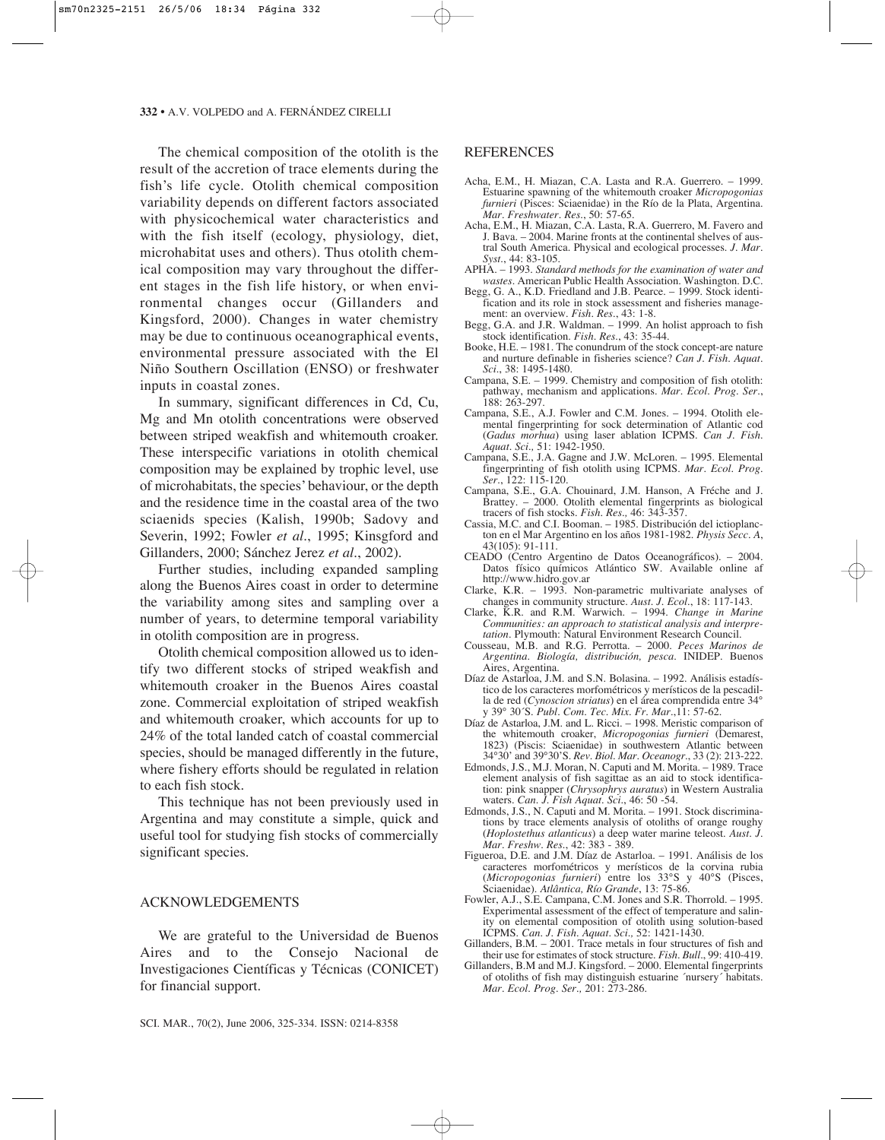The chemical composition of the otolith is the result of the accretion of trace elements during the fish's life cycle. Otolith chemical composition variability depends on different factors associated with physicochemical water characteristics and with the fish itself (ecology, physiology, diet, microhabitat uses and others). Thus otolith chemical composition may vary throughout the different stages in the fish life history, or when environmental changes occur (Gillanders and Kingsford, 2000). Changes in water chemistry may be due to continuous oceanographical events, environmental pressure associated with the El Niño Southern Oscillation (ENSO) or freshwater inputs in coastal zones.

In summary, significant differences in Cd, Cu, Mg and Mn otolith concentrations were observed between striped weakfish and whitemouth croaker. These interspecific variations in otolith chemical composition may be explained by trophic level, use of microhabitats, the species' behaviour, or the depth and the residence time in the coastal area of the two sciaenids species (Kalish, 1990b; Sadovy and Severin, 1992; Fowler *et al*., 1995; Kinsgford and Gillanders, 2000; Sánchez Jerez *et al*., 2002).

Further studies, including expanded sampling along the Buenos Aires coast in order to determine the variability among sites and sampling over a number of years, to determine temporal variability in otolith composition are in progress.

Otolith chemical composition allowed us to identify two different stocks of striped weakfish and whitemouth croaker in the Buenos Aires coastal zone. Commercial exploitation of striped weakfish and whitemouth croaker, which accounts for up to 24% of the total landed catch of coastal commercial species, should be managed differently in the future, where fishery efforts should be regulated in relation to each fish stock.

This technique has not been previously used in Argentina and may constitute a simple, quick and useful tool for studying fish stocks of commercially significant species.

## ACKNOWLEDGEMENTS

We are grateful to the Universidad de Buenos Aires and to the Consejo Nacional de Investigaciones Científicas y Técnicas (CONICET) for financial support.

## **REFERENCES**

- Acha, E.M., H. Miazan, C.A. Lasta and R.A. Guerrero. 1999. Estuarine spawning of the whitemouth croaker *Micropogonias furnieri* (Pisces: Sciaenidae) in the Río de la Plata, Argentina. *Mar. Freshwater. Res*., 50: 57-65.
- Acha, E.M., H. Miazan, C.A. Lasta, R.A. Guerrero, M. Favero and J. Bava. – 2004. Marine fronts at the continental shelves of austral South America. Physical and ecological processes. *J. Mar. Syst*., 44: 83-105.
- APHA. 1993. *Standard methods for the examination of water and wastes*. American Public Health Association. Washington. D.C.
- Begg, G. A., K.D. Friedland and J.B. Pearce. 1999. Stock identification and its role in stock assessment and fisheries management: an overview. *Fish. Res*., 43: 1-8.
- Begg, G.A. and J.R. Waldman. 1999. An holist approach to fish stock identification. *Fish. Res*., 43: 35-44.
- Booke, H.E. 1981. The conundrum of the stock concept-are nature and nurture definable in fisheries science? *Can J. Fish. Aquat. Sci*., 38: 1495-1480.
- Campana, S.E. 1999. Chemistry and composition of fish otolith: pathway, mechanism and applications. *Mar. Ecol. Prog. Ser*., 188: 263-297.
- Campana, S.E., A.J. Fowler and C.M. Jones. 1994. Otolith elemental fingerprinting for sock determination of Atlantic cod (*Gadus morhua*) using laser ablation ICPMS. *Can J. Fish. Aquat. Sci.,* 51: 1942-1950.
- Campana, S.E., J.A. Gagne and J.W. McLoren. 1995. Elemental fingerprinting of fish otolith using ICPMS. *Mar. Ecol. Prog. Ser*., 122: 115-120.
- Campana, S.E., G.A. Chouinard, J.M. Hanson, A Fréche and J. Brattey. – 2000. Otolith elemental fingerprints as biological tracers of fish stocks. *Fish. Res.,* 46: 343-357.
- Cassia, M.C. and C.I. Booman. 1985. Distribución del ictioplancton en el Mar Argentino en los años 1981-1982. *Physis Secc. A*, 43(105): 91-111.
- CEADO (Centro Argentino de Datos Oceanográficos). 2004. Datos físico químicos Atlántico SW. Available online af http://www.hidro.gov.ar
- Clarke, K.R. 1993. Non-parametric multivariate analyses of changes in community structure. *Aust. J. Ecol*., 18: 117-143.
- Clarke, K.R. and R.M. Warwich. 1994. *Change in Marine Communities: an approach to statistical analysis and interpretation*. Plymouth: Natural Environment Research Council.
- Cousseau, M.B. and R.G. Perrotta. 2000. *Peces Marinos de Argentina. Biología, distribución, pesca.* INIDEP. Buenos Aires, Argentina.
- Díaz de Astarloa, J.M. and S.N. Bolasina. 1992. Análisis estadístico de los caracteres morfométricos y merísticos de la pescadilla de red (*Cynoscion striatus*) en el área comprendida entre 34° y 39° 30´S. *Publ. Com. Tec. Mix. Fr. Mar*.,11: 57-62.
- Díaz de Astarloa, J.M. and L. Ricci. 1998. Meristic comparison of the whitemouth croaker, *Micropogonias furnieri* (Demarest, 1823) (Piscis: Sciaenidae) in southwestern Atlantic between 34°30' and 39°30'S. *Rev. Biol. Mar. Oceanogr*., 33 (2): 213-222.
- Edmonds, J.S., M.J. Moran, N. Caputi and M. Morita. 1989. Trace element analysis of fish sagittae as an aid to stock identification: pink snapper (*Chrysophrys auratus*) in Western Australia waters. *Can. J. Fish Aquat. Sci*., 46: 50 -54.
- Edmonds, J.S., N. Caputi and M. Morita. 1991. Stock discriminations by trace elements analysis of otoliths of orange roughy (*Hoplostethus atlanticus*) a deep water marine teleost. *Aust. J. Mar. Freshw. Res.*, 42: 383 - 389.
- Figueroa, D.E. and J.M. Díaz de Astarloa. 1991. Análisis de los caracteres morfométricos y merísticos de la corvina rubia (*Micropogonias furnieri*) entre los 33°S y 40°S (Pisces, Sciaenidae). *Atlântica, Río Grande*, 13: 75-86.
- Fowler, A.J., S.E. Campana, C.M. Jones and S.R. Thorrold. 1995. Experimental assessment of the effect of temperature and salinity on elemental composition of otolith using solution-based ICPMS. *Can. J. Fish. Aquat. Sci.,* 52: 1421-1430.
- Gillanders, B.M. 2001. Trace metals in four structures of fish and their use for estimates of stock structure. *Fish. Bull*., 99: 410-419.
- Gillanders, B.M and M.J. Kingsford. 2000. Elemental fingerprints of otoliths of fish may distinguish estuarine ´nursery´ habitats. *Mar. Ecol. Prog. Ser.,* 201: 273-286.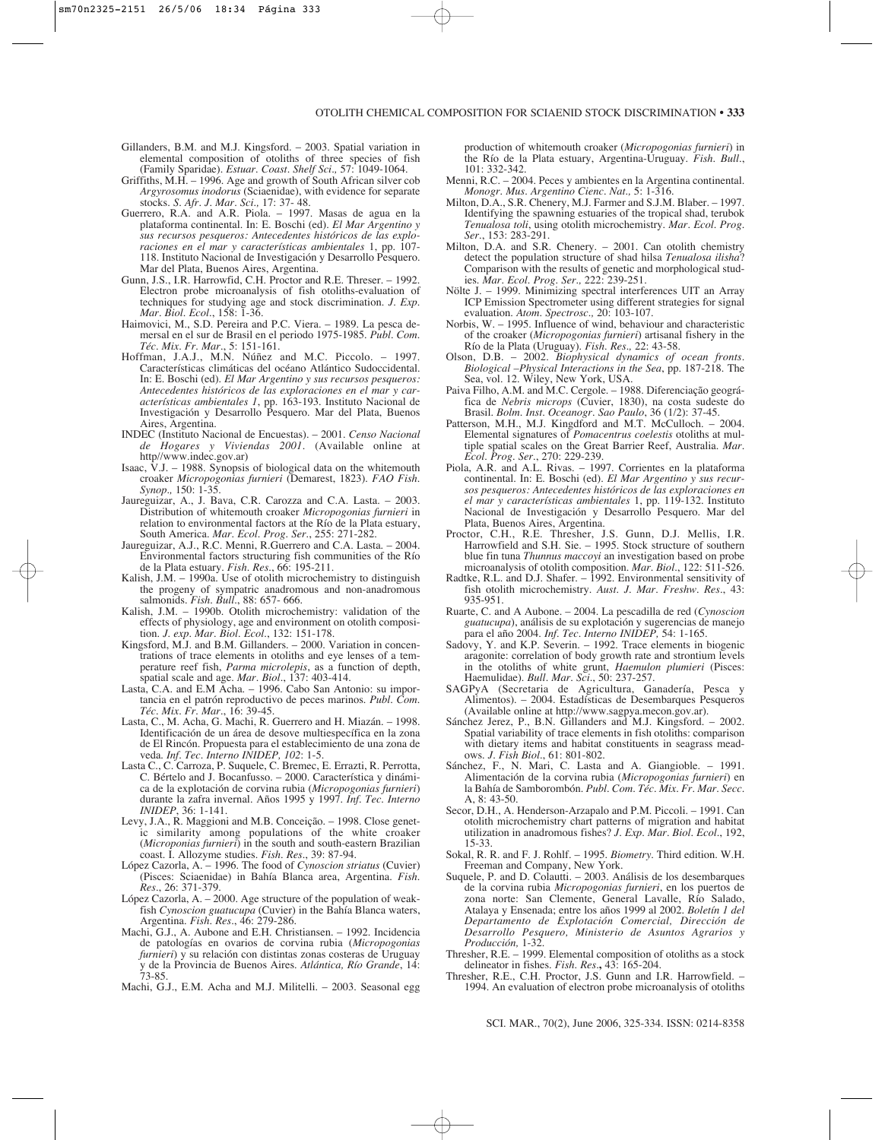- Gillanders, B.M. and M.J. Kingsford. 2003. Spatial variation in elemental composition of otoliths of three species of fish (Family Sparidae). *Estuar. Coast. Shelf Sci.,* 57: 1049-1064.
- Griffiths, M.H. 1996. Age and growth of South African silver cob *Argyrosomus inodorus* (Sciaenidae), with evidence for separate stocks. *S. Afr. J. Mar. Sci.,* 17: 37- 48.
- Guerrero, R.A. and A.R. Piola. 1997. Masas de agua en la plataforma continental. In: E. Boschi (ed). *El Mar Argentino y sus recursos pesqueros: Antecedentes históricos de las exploraciones en el mar y características ambientales* 1, pp. 107- 118. Instituto Nacional de Investigación y Desarrollo Pesquero. Mar del Plata, Buenos Aires, Argentina.
- Gunn, J.S., I.R. Harrowfid, C.H. Proctor and R.E. Threser. 1992. Electron probe microanalysis of fish otoliths-evaluation of techniques for studying age and stock discrimination. *J. Exp. Mar. Biol. Ecol*., 158: 1-36.
- Haimovici, M., S.D. Pereira and P.C. Viera. 1989. La pesca demersal en el sur de Brasil en el periodo 1975-1985. *Publ. Com. Téc. Mix. Fr. Mar*., 5: 151-161.
- Hoffman, J.A.J., M.N. Núñez and M.C. Piccolo. 1997. Características climáticas del océano Atlántico Sudoccidental. In: E. Boschi (ed). *El Mar Argentino y sus recursos pesqueros: Antecedentes históricos de las exploraciones en el mar y características ambientales 1*, pp. 163-193. Instituto Nacional de Investigación y Desarrollo Pesquero. Mar del Plata, Buenos Aires, Argentina.
- INDEC (Instituto Nacional de Encuestas). 2001. *Censo Nacional de Hogares y Viviendas 2001*. (Available online at http//www.indec.gov.ar)
- Isaac,  $\dot{V}$ .J. 1988. Synopsis of biological data on the whitemouth croaker *Micropogonias furnieri* (Demarest, 1823). *FAO Fish. Synop.,* 150: 1-35.
- Jaureguizar, A., J. Bava, C.R. Carozza and C.A. Lasta. 2003. Distribution of whitemouth croaker *Micropogonias furnieri* in relation to environmental factors at the Río de la Plata estuary, South America. *Mar. Ecol. Prog. Ser*., 255: 271-282.
- Jaureguizar, A.J., R.C. Menni, R.Guerrero and C.A. Lasta. 2004. Environmental factors structuring fish communities of the Río de la Plata estuary. *Fish. Res*., 66: 195-211.
- Kalish, J.M. 1990a. Use of otolith microchemistry to distinguish the progeny of sympatric anadromous and non-anadromous salmonids. *Fish. Bull*., 88: 657- 666.
- Kalish, J.M. 1990b. Otolith microchemistry: validation of the effects of physiology, age and environment on otolith composition. *J. exp. Mar. Biol. Ecol*., 132: 151-178.
- Kingsford, M.J. and B.M. Gillanders. 2000. Variation in concentrations of trace elements in otoliths and eye lenses of a temperature reef fish, *Parma microlepis*, as a function of depth, spatial scale and age. *Mar. Biol.*, 137: 403-414.
- Lasta, C.A. and E.M Acha. 1996. Cabo San Antonio: su importancia en el patrón reproductivo de peces marinos*. Publ. Com. Téc. Mix. Fr. Mar*., 16: 39-45.
- Lasta, C., M. Acha, G. Machi, R. Guerrero and H. Miazán. 1998. Identificación de un área de desove multiespecífica en la zona de El Rincón. Propuesta para el establecimiento de una zona de veda. *Inf. Tec. Interno INIDEP, 102*: 1-5.
- Lasta C., C. Carroza, P. Suquele, C. Bremec, E. Errazti, R. Perrotta, C. Bértelo and J. Bocanfusso. – 2000. Característica y dinámica de la explotación de corvina rubia (*Micropogonias furnieri*) durante la zafra invernal. Años 1995 y 1997. *Inf. Tec. Interno INIDEP*, 36: 1-141.
- Levy, J.A., R. Maggioni and M.B. Conceição. 1998. Close genetic similarity among populations of the white croaker (*Microponias furnieri*) in the south and south-eastern Brazilian coast. I. Allozyme studies. *Fish. Res*., 39: 87-94.
- López Cazorla, A. 1996. The food of *Cynoscion striatus* (Cuvier) (Pisces: Sciaenidae) in Bahía Blanca area, Argentina. *Fish. Res*., 26: 371-379.
- López Cazorla, A. 2000. Age structure of the population of weakfish *Cynoscion guatucupa* (Cuvier) in the Bahía Blanca waters, Argentina. *Fish. Res*., 46: 279-286.
- Machi, G.J., A. Aubone and E.H. Christiansen. 1992. Incidencia de patologías en ovarios de corvina rubia (*Micropogonias furnieri*) y su relación con distintas zonas costeras de Uruguay y de la Provincia de Buenos Aires. *Atlántica, Río Grande*, 14: 73-85.
- Machi, G.J., E.M. Acha and M.J. Militelli. 2003. Seasonal egg

production of whitemouth croaker (*Micropogonias furnieri*) in the Río de la Plata estuary, Argentina-Uruguay. *Fish. Bull*., 101: 332-342.

- Menni, R.C. 2004. Peces y ambientes en la Argentina continental. *Monogr. Mus. Argentino Cienc. Nat.,* 5: 1-316.
- Milton, D.A., S.R. Chenery, M.J. Farmer and S.J.M. Blaber. 1997. Identifying the spawning estuaries of the tropical shad, terubok *Tenualosa toli*, using otolith microchemistry*. Mar. Ecol. Prog. Ser*., 153: 283-291.
- Milton, D.A. and S.R. Chenery. 2001. Can otolith chemistry detect the population structure of shad hilsa *Tenualosa ilisha*? Comparison with the results of genetic and morphological studies. *Mar. Ecol. Prog. Ser.,* 222: 239-251.
- Nölte J. 1999. Minimizing spectral interferences UIT an Array ICP Emission Spectrometer using different strategies for signal evaluation. *Atom. Spectrosc.,* 20: 103-107.
- Norbis, W. 1995. Influence of wind, behaviour and characteristic of the croaker (*Micropogonias furnieri*) artisanal fishery in the Río de la Plata (Uruguay). *Fish. Res.,* 22: 43-58.
- Olson, D.B. 2002. *Biophysical dynamics of ocean fronts. Biological –Physical Interactions in the Sea*, pp. 187-218. The Sea, vol. 12. Wiley, New York, USA.
- Paiva Filho, A.M. and M.C. Cergole. 1988. Diferenciação geográfica de *Nebris microps* (Cuvier, 1830), na costa sudeste do Brasil. *Bolm. Inst. Oceanogr. Sao Paulo*, 36 (1/2): 37-45.
- Patterson, M.H., M.J. Kingdford and M.T. McCulloch. 2004. Elemental signatures of *Pomacentrus coelestis* otoliths at multiple spatial scales on the Great Barrier Reef, Australia. *Mar. Ecol. Prog. Ser*., 270: 229-239.
- Piola, A.R. and A.L. Rivas. 1997. Corrientes en la plataforma continental. In: E. Boschi (ed). *El Mar Argentino y sus recursos pesqueros: Antecedentes históricos de las exploraciones en el mar y características ambientales* 1, pp. 119-132. Instituto Nacional de Investigación y Desarrollo Pesquero. Mar del Plata, Buenos Aires, Argentina.
- Proctor, C.H., R.E. Thresher, J.S. Gunn, D.J. Mellis, I.R. Harrowfield and S.H. Sie. – 1995. Stock structure of southern blue fin tuna *Thunnus maccoyi* an investigation based on probe microanalysis of otolith composition. *Mar. Biol*., 122: 511-526.
- Radtke, R.L. and D.J. Shafer. 1992. Environmental sensitivity of fish otolith microchemistry. *Aust. J. Mar. Freshw. Res*., 43: 935-951.
- Ruarte, C. and A Aubone. 2004. La pescadilla de red (*Cynoscion guatucupa*), análisis de su explotación y sugerencias de manejo para el año 2004. *Inf. Tec. Interno INIDEP,* 54: 1-165.
- Sadovy, Y. and K.P. Severin. 1992. Trace elements in biogenic aragonite: correlation of body growth rate and strontium levels in the otoliths of white grunt, *Haemulon plumieri* (Pisces: Haemulidae). *Bull. Mar. Sci*., 50: 237-257.
- SAGPyA (Secretaria de Agricultura, Ganadería, Pesca y Alimentos). – 2004. Estadísticas de Desembarques Pesqueros (Available online at http://www.sagpya.mecon.gov.ar).
- Sánchez Jerez, P., B.N. Gillanders and M.J. Kingsford. 2002. Spatial variability of trace elements in fish otoliths: comparison with dietary items and habitat constituents in seagrass meadows. *J. Fish Biol*., 61: 801-802.
- Sánchez, F., N. Mari, C. Lasta and A. Giangioble. 1991. Alimentación de la corvina rubia (*Micropogonias furnieri*) en la Bahía de Samborombón. *Publ. Com. Téc. Mix. Fr. Mar. Secc.* A, 8: 43-50.
- Secor, D.H., A. Henderson-Arzapalo and P.M. Piccoli. 1991. Can otolith microchemistry chart patterns of migration and habitat utilization in anadromous fishes? *J. Exp. Mar. Biol. Ecol*., 192, 15-33.
- Sokal, R. R. and F. J. Rohlf. 1995. *Biometry.* Third edition. W.H. Freeman and Company, New York.
- Suquele, P. and D. Colautti. 2003. Análisis de los desembarques de la corvina rubia *Micropogonias furnieri*, en los puertos de zona norte: San Clemente, General Lavalle, Río Salado, Atalaya y Ensenada; entre los años 1999 al 2002. *Boletín 1 del Departamento de Explotación Comercial, Dirección de Desarrollo Pesquero, Ministerio de Asuntos Agrarios y Producción,* 1-32.
- Thresher, R.E. 1999. Elemental composition of otoliths as a stock delineator in fishes. *Fish. Res.***,** 43: 165-204.
- Thresher, R.E., C.H. Proctor, J.S. Gunn and I.R. Harrowfield. 1994. An evaluation of electron probe microanalysis of otoliths